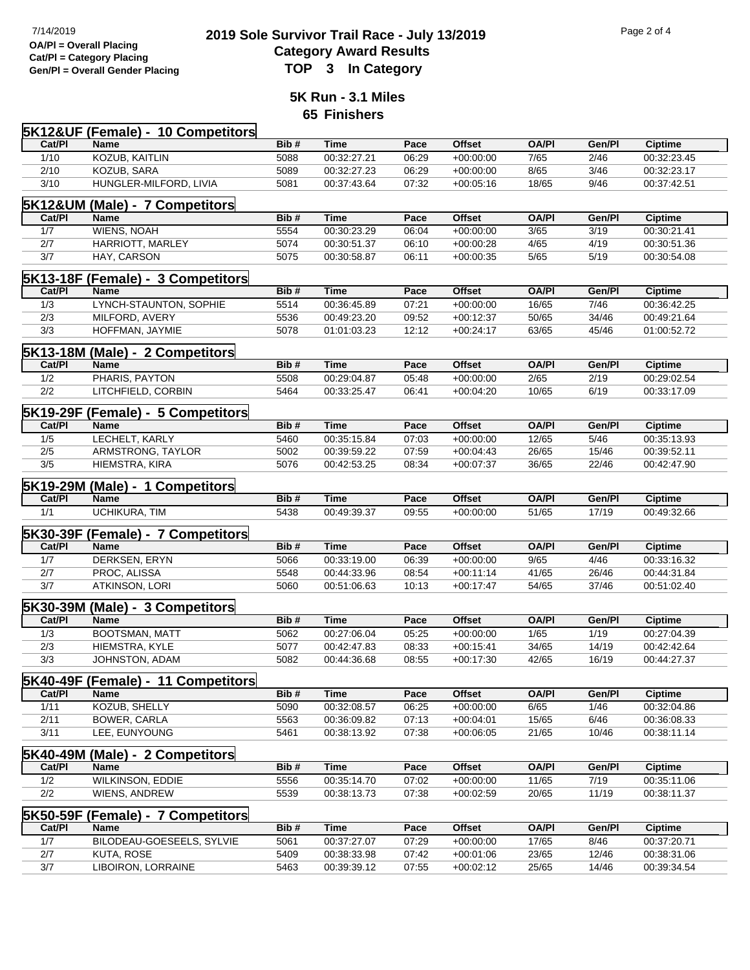## **2019 Sole Survivor Trail Race - July 13/2019** 7/14/2019 Page 2 of 4 **Category Award Results Gen/Pl = Overall Gender Placing TOP 3 In Category**

**5K Run - 3.1 Miles 65 Finishers**

|                | 5K12&UF (Female) - 10 Competitors                |      |             |       |               |              |        |                |
|----------------|--------------------------------------------------|------|-------------|-------|---------------|--------------|--------|----------------|
| Cat/PI         | <b>Name</b>                                      | Bib# | <b>Time</b> | Pace  | <b>Offset</b> | <b>OA/PI</b> | Gen/Pl | Ciptime        |
| $\frac{1}{10}$ | <b>KOZUB, KAITLIN</b>                            | 5088 | 00:32:27.21 | 06:29 | $+00:00:00$   | 7/65         | 2/46   | 00:32:23.45    |
| 2/10           | KOZUB, SARA                                      | 5089 | 00:32:27.23 | 06:29 | $+00:00:00$   | 8/65         | 3/46   | 00:32:23.17    |
| 3/10           | HUNGLER-MILFORD, LIVIA                           | 5081 | 00:37:43.64 | 07:32 | $+00:05:16$   | 18/65        | 9/46   | 00:37:42.51    |
|                | <b>5K12&amp;UM (Male) - 7 Competitors</b>        |      |             |       |               |              |        |                |
| Cat/PI         | <b>Name</b>                                      | Bib# | <b>Time</b> | Pace  | <b>Offset</b> | <b>OA/PI</b> | Gen/Pl | <b>Ciptime</b> |
| 1/7            | WIENS, NOAH                                      | 5554 | 00:30:23.29 | 06:04 | $+00:00:00$   | 3/65         | 3/19   | 00:30:21.41    |
| 2/7            | HARRIOTT, MARLEY                                 | 5074 | 00:30:51.37 | 06:10 | $+00:00:28$   | 4/65         | 4/19   | 00:30:51.36    |
| 3/7            | HAY, CARSON                                      | 5075 | 00:30:58.87 | 06:11 | $+00:00:35$   | 5/65         | 5/19   | 00:30:54.08    |
|                |                                                  |      |             |       |               |              |        |                |
| Cat/PI         | 5K13-18F (Female) - 3 Competitors<br><b>Name</b> | Bib# | <b>Time</b> | Pace  | <b>Offset</b> | <b>OA/PI</b> | Gen/Pl | <b>Ciptime</b> |
| 1/3            | LYNCH-STAUNTON, SOPHIE                           | 5514 | 00:36:45.89 | 07:21 | $+00:00:00$   | 16/65        | 7/46   | 00:36:42.25    |
| 2/3            | MILFORD, AVERY                                   | 5536 | 00:49:23.20 | 09:52 | $+00:12:37$   | 50/65        | 34/46  | 00:49:21.64    |
| 3/3            | HOFFMAN, JAYMIE                                  | 5078 | 01:01:03.23 | 12:12 | $+00:24:17$   | 63/65        | 45/46  | 01:00:52.72    |
|                |                                                  |      |             |       |               |              |        |                |
|                | 5K13-18M (Male) - 2 Competitors                  |      |             |       |               |              |        |                |
| Cat/PI         | <b>Name</b>                                      | Bib# | <b>Time</b> | Pace  | Offset        | <b>OA/PI</b> | Gen/Pl | Ciptime        |
| 1/2            | PHARIS, PAYTON                                   | 5508 | 00:29:04.87 | 05:48 | $+00:00:00$   | 2/65         | 2/19   | 00:29:02.54    |
| 2/2            | LITCHFIELD, CORBIN                               | 5464 | 00:33:25.47 | 06:41 | $+00:04:20$   | 10/65        | 6/19   | 00:33:17.09    |
|                | <b>5K19-29F (Female) - 5 Competitors</b>         |      |             |       |               |              |        |                |
| Cat/PI         | Name                                             | Bib# | Time        | Pace  | <b>Offset</b> | <b>OA/PI</b> | Gen/Pl | <b>Ciptime</b> |
| 1/5            | LECHELT, KARLY                                   | 5460 | 00:35:15.84 | 07:03 | $+00:00:00$   | 12/65        | 5/46   | 00:35:13.93    |
| 2/5            | ARMSTRONG, TAYLOR                                | 5002 | 00:39:59.22 | 07:59 | $+00:04:43$   | 26/65        | 15/46  | 00:39:52.11    |
| 3/5            | HIEMSTRA, KIRA                                   | 5076 | 00:42:53.25 | 08:34 | $+00:07:37$   | 36/65        | 22/46  | 00:42:47.90    |
|                |                                                  |      |             |       |               |              |        |                |
| Cat/PI         | 5K19-29M (Male) - 1 Competitors<br>Name          | Bib# | <b>Time</b> | Pace  | <b>Offset</b> | <b>OA/PI</b> | Gen/Pl | <b>Ciptime</b> |
| 1/1            | UCHIKURA, TIM                                    | 5438 | 00:49:39.37 | 09:55 | $+00:00:00$   | 51/65        | 17/19  | 00:49:32.66    |
|                |                                                  |      |             |       |               |              |        |                |
|                | 5K30-39F (Female) - 7 Competitors                |      |             |       |               |              |        |                |
| Cat/PI         | Name                                             | Bib# | <b>Time</b> | Pace  | <b>Offset</b> | <b>OA/PI</b> | Gen/Pl | <b>Ciptime</b> |
| 1/7            | <b>DERKSEN, ERYN</b>                             | 5066 | 00:33:19.00 | 06:39 | $+00:00:00$   | 9/65         | 4/46   | 00:33:16.32    |
| 2/7            | PROC, ALISSA                                     | 5548 | 00:44:33.96 | 08:54 | $+00:11:14$   | 41/65        | 26/46  | 00:44:31.84    |
| 3/7            | ATKINSON, LORI                                   | 5060 | 00:51:06.63 | 10:13 | $+00:17:47$   | 54/65        | 37/46  | 00:51:02.40    |
|                | 5K30-39M (Male) - 3 Competitors                  |      |             |       |               |              |        |                |
| Cat/PI         | Name                                             | Bib# | <b>Time</b> | Pace  | <b>Offset</b> | <b>OA/PI</b> | Gen/Pl | Ciptime        |
| 1/3            | BOOTSMAN, MATT                                   | 5062 | 00:27:06.04 | 05:25 | $+00:00:00$   | 1/65         | 1/19   | 00:27:04.39    |
| 2/3            | HIEMSTRA, KYLE                                   | 5077 | 00:42:47.83 | 08:33 | $+00:15:41$   | 34/65        | 14/19  | 00:42:42.64    |
| 3/3            | JOHNSTON, ADAM                                   | 5082 | 00:44:36.68 | 08:55 | $+00:17:30$   | 42/65        | 16/19  | 00:44:27.37    |
|                | 5K40-49F (Female) - 11 Competitors               |      |             |       |               |              |        |                |
| Cat/PI         | Name                                             | Bib# | <b>Time</b> | Pace  | Offset        | <b>OA/PI</b> | Gen/Pl | <b>Ciptime</b> |
| 1/11           | KOZUB, SHELLY                                    | 5090 | 00:32:08.57 | 06:25 | $+00:00:00$   | 6/65         | 1/46   | 00:32:04.86    |
| 2/11           | BOWER, CARLA                                     | 5563 | 00:36:09.82 | 07:13 | $+00:04:01$   | 15/65        | 6/46   | 00:36:08.33    |
| 3/11           | LEE, EUNYOUNG                                    | 5461 | 00:38:13.92 | 07:38 | $+00:06:05$   | 21/65        | 10/46  | 00:38:11.14    |
|                |                                                  |      |             |       |               |              |        |                |
| 5K40-49M       | (Male) - 2 Competitors                           |      |             |       |               |              |        |                |
| Cat/PI         | Name                                             | Bib# | <b>Time</b> | Pace  | <b>Offset</b> | <b>OA/PI</b> | Gen/Pl | Ciptime        |
| 1/2            | WILKINSON, EDDIE                                 | 5556 | 00:35:14.70 | 07:02 | $+00:00:00$   | 11/65        | 7/19   | 00:35:11.06    |
| 2/2            | WIENS, ANDREW                                    | 5539 | 00:38:13.73 | 07:38 | $+00:02:59$   | 20/65        | 11/19  | 00:38:11.37    |
|                | <b>5K50-59F (Female) - 7 Competitors</b>         |      |             |       |               |              |        |                |
| Cat/PI         | <b>Name</b>                                      | Bib# | <b>Time</b> | Pace  | <b>Offset</b> | <b>OA/PI</b> | Gen/Pl | <b>Ciptime</b> |
| 1/7            | BILODEAU-GOESEELS, SYLVIE                        | 5061 | 00:37:27.07 | 07:29 | $+00:00:00$   | 17/65        | 8/46   | 00:37:20.71    |
| 2/7            | KUTA, ROSE                                       | 5409 | 00:38:33.98 | 07:42 | $+00:01:06$   | 23/65        | 12/46  | 00:38:31.06    |
| $3/7$          | LIBOIRON, LORRAINE                               | 5463 | 00:39:39.12 | 07:55 | $+00:02:12$   | 25/65        | 14/46  | 00:39:34.54    |